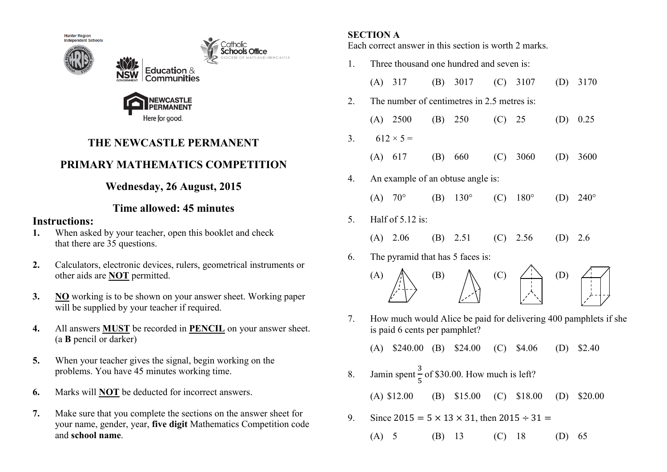



# **THE NEWCASTLE PERMANENT**

atholic hools Office

## **PRIMARY MATHEMATICS COMPETITION**

## **Wednesday, 26 August, 2015**

### **Time allowed: 45 minutes**

### **Instructions:**

- **1.** When asked by your teacher, open this booklet and check that there are 35 questions.
- **2.** Calculators, electronic devices, rulers, geometrical instruments or other aids are **NOT** permitted.
- **3. NO** working is to be shown on your answer sheet. Working paper will be supplied by your teacher if required.
- **4.** All answers **MUST** be recorded in **PENCIL** on your answer sheet. (a **B** pencil or darker)
- **5.** When your teacher gives the signal, begin working on the problems. You have 45 minutes working time.
- **6.** Marks will **NOT** be deducted for incorrect answers.
- **7.** Make sure that you complete the sections on the answer sheet for your name, gender, year, **five digit** Mathematics Competition code and **school name**.

### **SECTION A**

Each correct answer in this section is worth 2 marks.

| 1. | Three thousand one hundred and seven is: |                                                                                                   |     |                                 |     |                                                         |                                                 |             |  |  |
|----|------------------------------------------|---------------------------------------------------------------------------------------------------|-----|---------------------------------|-----|---------------------------------------------------------|-------------------------------------------------|-------------|--|--|
|    |                                          | $(A)$ 317                                                                                         |     | (B) 3017                        |     | $(C)$ 3107                                              | (D)                                             | 3170        |  |  |
| 2. |                                          | The number of centimetres in 2.5 metres is:                                                       |     |                                 |     |                                                         |                                                 |             |  |  |
|    |                                          | $(A)$ 2500                                                                                        |     | (B) 250                         | (C) | 25                                                      | (D)                                             | 0.25        |  |  |
| 3. |                                          | $612 \times 5 =$                                                                                  |     |                                 |     |                                                         |                                                 |             |  |  |
|    |                                          | (A) 617                                                                                           | (B) | 660                             | (C) | 3060                                                    | (D)                                             | 3600        |  |  |
| 4. | An example of an obtuse angle is:        |                                                                                                   |     |                                 |     |                                                         |                                                 |             |  |  |
|    | (A)                                      | $70^{\circ}$                                                                                      |     | (B) $130^{\circ}$               |     | $(C) 180^{\circ}$                                       | (D)                                             | $240^\circ$ |  |  |
| 5. |                                          | Half of 5.12 is:                                                                                  |     |                                 |     |                                                         |                                                 |             |  |  |
|    | (A)                                      | 2.06                                                                                              |     | (B) $2.51$ (C) $2.56$           |     |                                                         | (D)                                             | 2.6         |  |  |
| 6. | The pyramid that has 5 faces is:         |                                                                                                   |     |                                 |     |                                                         |                                                 |             |  |  |
|    | (A)                                      |                                                                                                   | (B) |                                 | (C) | $\begin{array}{c}\n\uparrow \\ \downarrow\n\end{array}$ | $\left( \begin{array}{c} 1 \end{array} \right)$ |             |  |  |
| 7. |                                          | How much would Alice be paid for delivering 400 pamphlets if she<br>is paid 6 cents per pamphlet? |     |                                 |     |                                                         |                                                 |             |  |  |
|    | (A)                                      |                                                                                                   |     | \$240.00 (B) \$24.00 (C) \$4.06 |     |                                                         | (D)                                             | \$2.40      |  |  |
| 8. |                                          | Jamin spent $\frac{3}{5}$ of \$30.00. How much is left?                                           |     |                                 |     |                                                         |                                                 |             |  |  |
|    |                                          | $(A)$ \$12.00                                                                                     | (B) | \$15.00                         | (C) | \$18.00                                                 | (D)                                             | \$20.00     |  |  |
|    |                                          |                                                                                                   |     |                                 |     |                                                         |                                                 |             |  |  |

- 9. Since  $2015 = 5 \times 13 \times 31$ , then  $2015 \div 31 =$ 
	- (A) 5 (B) 13 (C) 18 (D) 65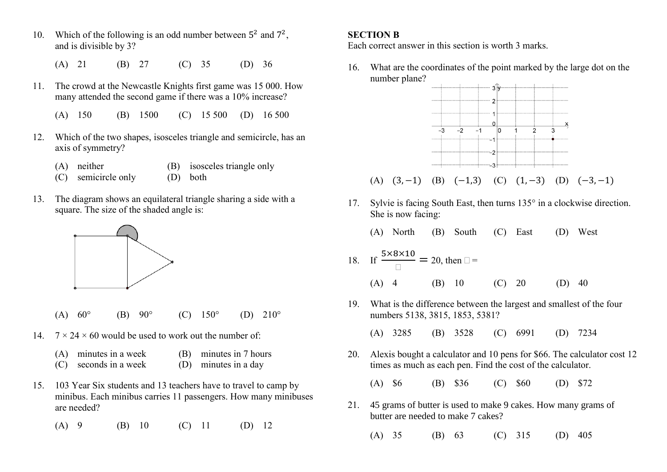- 10. Which of the following is an odd number between  $5^2$  and  $7^2$ , and is divisible by 3?
	- (A) 21 (B) 27 (C) 35 (D) 36
- 11. The crowd at the Newcastle Knights first game was 15 000. How many attended the second game if there was a 10% increase?
	- (A) 150 (B) 1500 (C) 15 500 (D) 16 500
- 12. Which of the two shapes, isosceles triangle and semicircle, has an axis of symmetry?
	- (A) neither (B) isosceles triangle only
	- (C) semicircle only (D) both
- 13. The diagram shows an equilateral triangle sharing a side with a square. The size of the shaded angle is:



- (A)  $60^{\circ}$  (B)  $90^{\circ}$  (C)  $150^{\circ}$  (D)  $210^{\circ}$
- 14.  $7 \times 24 \times 60$  would be used to work out the number of:
	- (A) minutes in a week (B) minutes in 7 hours
		-
	- (C) seconds in a week (D) minutes in a day
- 15. 103 Year Six students and 13 teachers have to travel to camp by minibus. Each minibus carries 11 passengers. How many minibuses are needed?
	- (A) 9 (B) 10 (C) 11 (D) 12

#### **SECTION B**

Each correct answer in this section is worth 3 marks.

16. What are the coordinates of the point marked by the large dot on the number plane?



(A)  $(3, -1)$  (B)  $(-1, 3)$  (C)  $(1, -3)$  (D)  $(-3, -1)$ 

17. Sylvie is facing South East, then turns  $135^\circ$  in a clockwise direction. She is now facing:

(A) North (B) South (C) East (D) West

18. If 
$$
\frac{5 \times 8 \times 10}{\Box} = 20
$$
, then  $\Box =$   
(A) 4 (B) 10 (C) 20 (D) 40

19. What is the difference between the largest and smallest of the four numbers 5138, 3815, 1853, 5381?

(A) 3285 (B) 3528 (C) 6991 (D) 7234

20. Alexis bought a calculator and 10 pens for \$66. The calculator cost 12 times as much as each pen. Find the cost of the calculator.

(A) \$6 (B) \$36 (C) \$60 (D) \$72

- 21. 45 grams of butter is used to make 9 cakes. How many grams of butter are needed to make 7 cakes?
	- (A) 35 (B) 63 (C) 315 (D) 405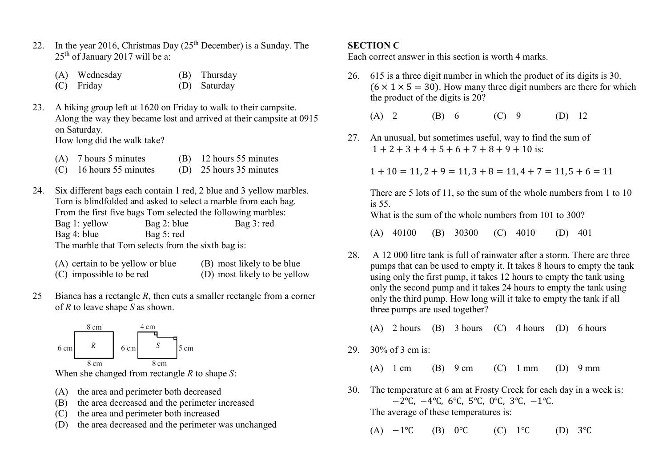- 22. In the year 2016, Christmas Day  $(25<sup>th</sup> December)$  is a Sunday. The  $25<sup>th</sup>$  of January 2017 will be a:
	- (A) Wednesday (B) Thursday **(**C**)** Friday (D) Saturday
- 23. A hiking group left at 1620 on Friday to walk to their campsite. Along the way they became lost and arrived at their campsite at 0915 on Saturday.

How long did the walk take?

- (A) 7 hours 5 minutes (B) 12 hours 55 minutes
- (C) 16 hours 55 minutes (D) 25 hours 35 minutes
- 24. Six different bags each contain 1 red, 2 blue and 3 yellow marbles. Tom is blindfolded and asked to select a marble from each bag. From the first five bags Tom selected the following marbles: Bag 1: yellow Bag 2: blue Bag 3: red Bag 4: blue Bag 5: red The marble that Tom selects from the sixth bag is:
	- (A) certain to be yellow or blue (B) most likely to be blue (C) impossible to be red (D) most likely to be yellow
- 25 Bianca has a rectangle *R*, then cuts a smaller rectangle from a corner of *R* to leave shape *S* as shown.



When she changed from rectangle *R* to shape *S*:

- (A) the area and perimeter both decreased
- (B) the area decreased and the perimeter increased
- (C) the area and perimeter both increased
- (D) the area decreased and the perimeter was unchanged

#### **SECTION C**

Each correct answer in this section is worth 4 marks.

26. 615 is a three digit number in which the product of its digits is 30.  $(6 \times 1 \times 5 = 30)$ . How many three digit numbers are there for which the product of the digits is 20?

(A) 2 (B) 6 (C) 9 (D) 12

27. An unusual, but sometimes useful, way to find the sum of  $1 + 2 + 3 + 4 + 5 + 6 + 7 + 8 + 9 + 10$  is:

 $1 + 10 = 11, 2 + 9 = 11, 3 + 8 = 11, 4 + 7 = 11, 5 + 6 = 11$ 

There are 5 lots of 11, so the sum of the whole numbers from 1 to 10 is 55.

What is the sum of the whole numbers from 101 to 300?

(A) 40100 (B) 30300 (C) 4010 (D) 401

28. A 12 000 litre tank is full of rainwater after a storm. There are three pumps that can be used to empty it. It takes 8 hours to empty the tank using only the first pump, it takes 12 hours to empty the tank using only the second pump and it takes 24 hours to empty the tank using only the third pump. How long will it take to empty the tank if all three pumps are used together?

(A) 2 hours (B) 3 hours (C) 4 hours (D) 6 hours

29. 30% of 3 cm is:

(A)  $1 \text{ cm}$  (B)  $9 \text{ cm}$  (C)  $1 \text{ mm}$  (D)  $9 \text{ mm}$ 

- 30. The temperature at 6 am at Frosty Creek for each day in a week is: −2℃, −4℃, 6℃, 5℃, 0℃, 3℃, −1℃. The average of these temperatures is:
	- $(A) -1°C$  (B) 0°C (C) 1°C (D) 3°C